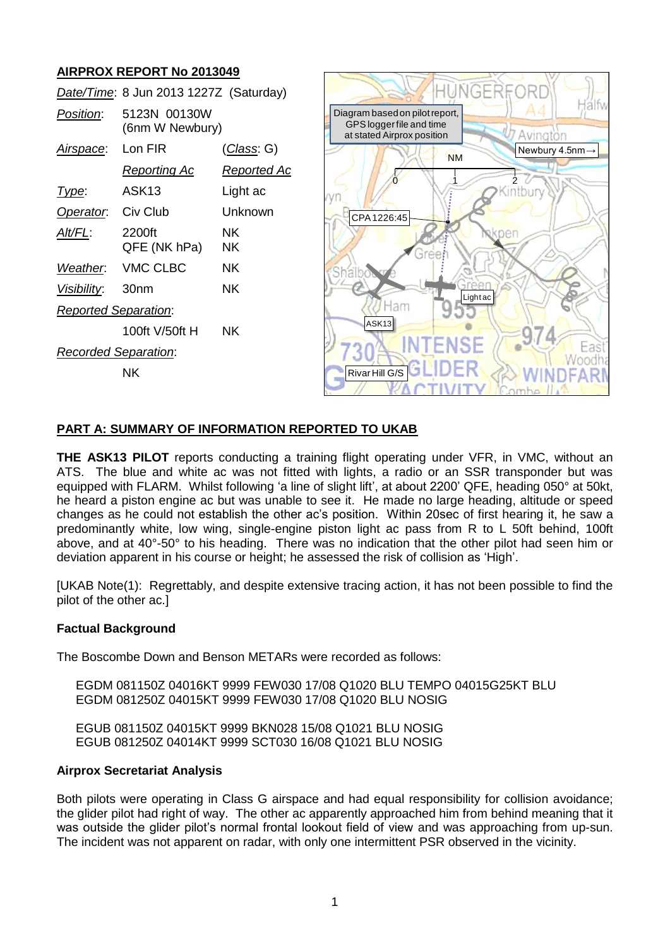# **AIRPROX REPORT No 2013049**

|                             | Date/Time: 8 Jun 2013 1227Z (Saturday) |                    |
|-----------------------------|----------------------------------------|--------------------|
| Position:                   | 5123N 00130W<br>(6nm W Newbury)        |                    |
| Airspace:                   | Lon FIR                                | (Class: G)         |
|                             | <u>Reporting Ac</u>                    | <u>Reported Ac</u> |
| Type:                       | ASK <sub>13</sub>                      | Light ac           |
| Operator. Civ Club          |                                        | Unknown            |
| Alt/FL:                     | 2200ft<br>QFE (NK hPa)                 | ΝK<br>ΝK           |
|                             | Weather: VMC CLBC                      | NK.                |
| Visibility: 30nm            |                                        | ΝK                 |
| <b>Reported Separation:</b> |                                        |                    |
|                             | 100ft V/50ft H                         | NK.                |
| Recorded Separation:        |                                        |                    |
|                             | ΝK                                     |                    |



### **PART A: SUMMARY OF INFORMATION REPORTED TO UKAB**

**THE ASK13 PILOT** reports conducting a training flight operating under VFR, in VMC, without an ATS. The blue and white ac was not fitted with lights, a radio or an SSR transponder but was equipped with FLARM. Whilst following 'a line of slight lift', at about 2200' QFE, heading 050° at 50kt, he heard a piston engine ac but was unable to see it. He made no large heading, altitude or speed changes as he could not establish the other ac's position. Within 20sec of first hearing it, he saw a predominantly white, low wing, single-engine piston light ac pass from R to L 50ft behind, 100ft above, and at 40°-50° to his heading. There was no indication that the other pilot had seen him or deviation apparent in his course or height; he assessed the risk of collision as 'High'.

[UKAB Note(1): Regrettably, and despite extensive tracing action, it has not been possible to find the pilot of the other ac.]

### **Factual Background**

The Boscombe Down and Benson METARs were recorded as follows:

EGDM 081150Z 04016KT 9999 FEW030 17/08 Q1020 BLU TEMPO 04015G25KT BLU EGDM 081250Z 04015KT 9999 FEW030 17/08 Q1020 BLU NOSIG

EGUB 081150Z 04015KT 9999 BKN028 15/08 Q1021 BLU NOSIG EGUB 081250Z 04014KT 9999 SCT030 16/08 Q1021 BLU NOSIG

#### **Airprox Secretariat Analysis**

Both pilots were operating in Class G airspace and had equal responsibility for collision avoidance; the glider pilot had right of way. The other ac apparently approached him from behind meaning that it was outside the glider pilot's normal frontal lookout field of view and was approaching from up-sun. The incident was not apparent on radar, with only one intermittent PSR observed in the vicinity.